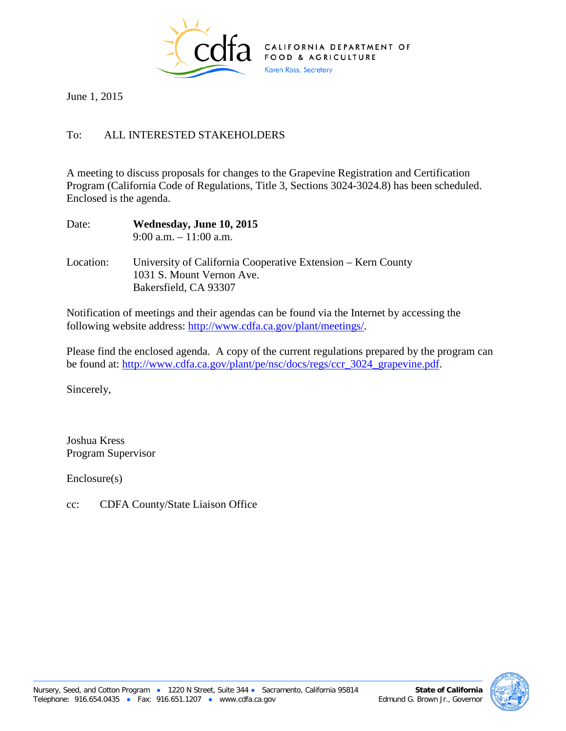

June 1, 2015

## To: ALL INTERESTED STAKEHOLDERS

A meeting to discuss proposals for changes to the Grapevine Registration and Certification Program (California Code of Regulations, Title 3, Sections 3024-3024.8) has been scheduled. Enclosed is the agenda.

| Date:     | Wednesday, June 10, 2015<br>$9:00$ a.m. $-11:00$ a.m.                                     |
|-----------|-------------------------------------------------------------------------------------------|
| Location: | University of California Cooperative Extension – Kern County<br>1031 S. Mount Vernon Ave. |
|           | Bakersfield, CA 93307                                                                     |

Notification of meetings and their agendas can be found via the Internet by accessing the following website address: [http://www.cdfa.ca.gov/plant/meetings/.](http://www.cdfa.ca.gov/plant/meetings/)

Please find the enclosed agenda. A copy of the current regulations prepared by the program can be found at: [http://www.cdfa.ca.gov/plant/pe/nsc/docs/regs/ccr\\_3024\\_grapevine.pdf.](http://www.cdfa.ca.gov/plant/pe/nsc/docs/regs/ccr_3024_grapevine.pdf)

Sincerely,

Joshua Kress Program Supervisor

Enclosure(s)

cc: CDFA County/State Liaison Office